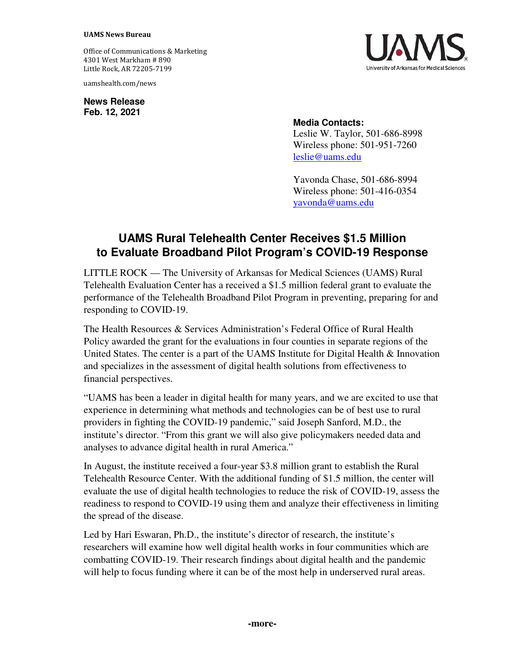## **UAMS News Bureau**

Office of Communications & Marketing 4301 West Markham # 890 Little Rock, AR 72205-7199

uamshealth.com/news

**News Release Feb. 12, 2021**



## **Media Contacts:**

Leslie W. Taylor, 501-686-8998 Wireless phone: 501-951-7260 [leslie@uams.edu](mailto:leslie@uams.edu)

Yavonda Chase, 501-686-8994 Wireless phone: 501-416-0354 [yavonda@uams.edu](mailto:yavonda@uams.edu) 

## **UAMS Rural Telehealth Center Receives \$1.5 Million to Evaluate Broadband Pilot Program's COVID-19 Response**

LITTLE ROCK — The University of Arkansas for Medical Sciences (UAMS) Rural Telehealth Evaluation Center has a received a \$1.5 million federal grant to evaluate the performance of the Telehealth Broadband Pilot Program in preventing, preparing for and responding to COVID-19.

The Health Resources & Services Administration's Federal Office of Rural Health Policy awarded the grant for the evaluations in four counties in separate regions of the United States. The center is a part of the UAMS Institute for Digital Health & Innovation and specializes in the assessment of digital health solutions from effectiveness to financial perspectives.

"UAMS has been a leader in digital health for many years, and we are excited to use that experience in determining what methods and technologies can be of best use to rural providers in fighting the COVID-19 pandemic," said Joseph Sanford, M.D., the institute's director. "From this grant we will also give policymakers needed data and analyses to advance digital health in rural America."

In August, the institute received a four-year \$3.8 million grant to establish the Rural Telehealth Resource Center. With the additional funding of \$1.5 million, the center will evaluate the use of digital health technologies to reduce the risk of COVID-19, assess the readiness to respond to COVID-19 using them and analyze their effectiveness in limiting the spread of the disease.

Led by Hari Eswaran, Ph.D., the institute's director of research, the institute's researchers will examine how well digital health works in four communities which are combatting COVID-19. Their research findings about digital health and the pandemic will help to focus funding where it can be of the most help in underserved rural areas.